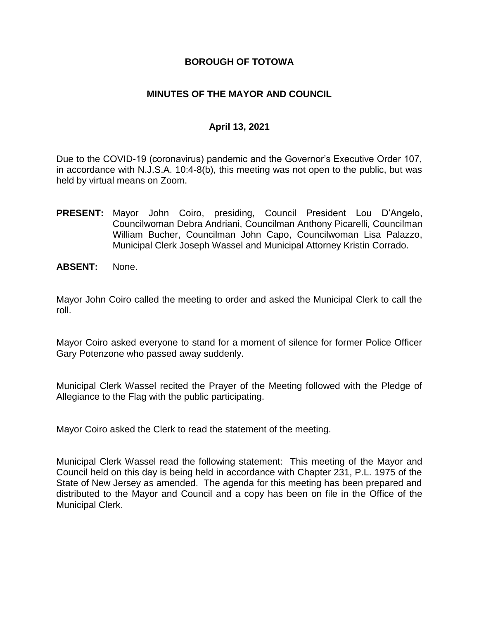### **BOROUGH OF TOTOWA**

### **MINUTES OF THE MAYOR AND COUNCIL**

### **April 13, 2021**

Due to the COVID-19 (coronavirus) pandemic and the Governor's Executive Order 107, in accordance with N.J.S.A. 10:4-8(b), this meeting was not open to the public, but was held by virtual means on Zoom.

- **PRESENT:** Mayor John Coiro, presiding, Council President Lou D'Angelo, Councilwoman Debra Andriani, Councilman Anthony Picarelli, Councilman William Bucher, Councilman John Capo, Councilwoman Lisa Palazzo, Municipal Clerk Joseph Wassel and Municipal Attorney Kristin Corrado.
- **ABSENT:** None.

Mayor John Coiro called the meeting to order and asked the Municipal Clerk to call the roll.

Mayor Coiro asked everyone to stand for a moment of silence for former Police Officer Gary Potenzone who passed away suddenly.

Municipal Clerk Wassel recited the Prayer of the Meeting followed with the Pledge of Allegiance to the Flag with the public participating.

Mayor Coiro asked the Clerk to read the statement of the meeting.

Municipal Clerk Wassel read the following statement: This meeting of the Mayor and Council held on this day is being held in accordance with Chapter 231, P.L. 1975 of the State of New Jersey as amended. The agenda for this meeting has been prepared and distributed to the Mayor and Council and a copy has been on file in the Office of the Municipal Clerk.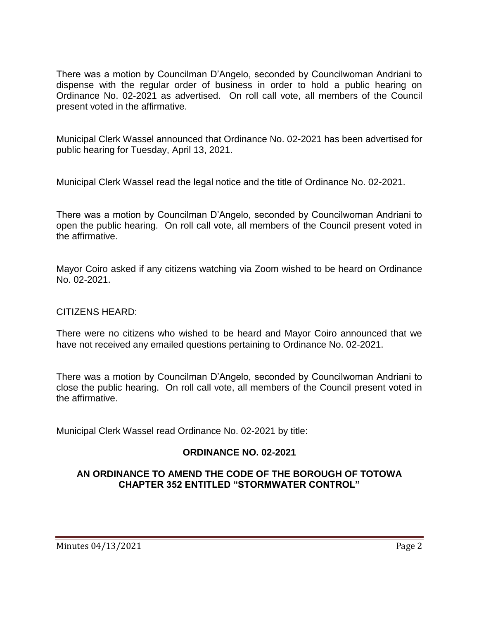There was a motion by Councilman D'Angelo, seconded by Councilwoman Andriani to dispense with the regular order of business in order to hold a public hearing on Ordinance No. 02-2021 as advertised. On roll call vote, all members of the Council present voted in the affirmative.

Municipal Clerk Wassel announced that Ordinance No. 02-2021 has been advertised for public hearing for Tuesday, April 13, 2021.

Municipal Clerk Wassel read the legal notice and the title of Ordinance No. 02-2021.

There was a motion by Councilman D'Angelo, seconded by Councilwoman Andriani to open the public hearing. On roll call vote, all members of the Council present voted in the affirmative.

Mayor Coiro asked if any citizens watching via Zoom wished to be heard on Ordinance No. 02-2021.

#### CITIZENS HEARD:

There were no citizens who wished to be heard and Mayor Coiro announced that we have not received any emailed questions pertaining to Ordinance No. 02-2021.

There was a motion by Councilman D'Angelo, seconded by Councilwoman Andriani to close the public hearing. On roll call vote, all members of the Council present voted in the affirmative.

Municipal Clerk Wassel read Ordinance No. 02-2021 by title:

## **ORDINANCE NO. 02-2021**

### **AN ORDINANCE TO AMEND THE CODE OF THE BOROUGH OF TOTOWA CHAPTER 352 ENTITLED "STORMWATER CONTROL"**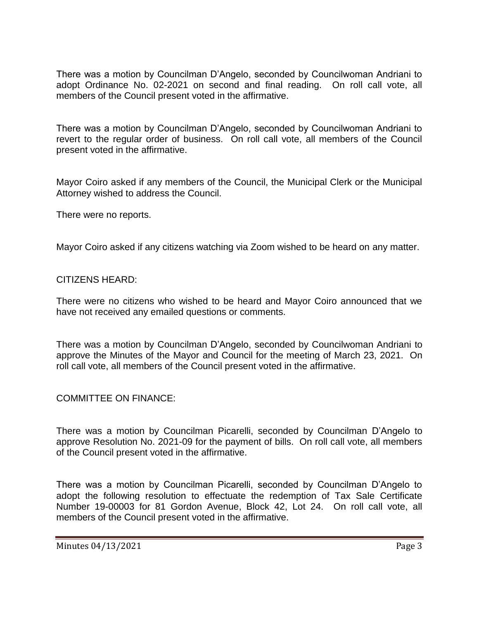There was a motion by Councilman D'Angelo, seconded by Councilwoman Andriani to adopt Ordinance No. 02-2021 on second and final reading. On roll call vote, all members of the Council present voted in the affirmative.

There was a motion by Councilman D'Angelo, seconded by Councilwoman Andriani to revert to the regular order of business. On roll call vote, all members of the Council present voted in the affirmative.

Mayor Coiro asked if any members of the Council, the Municipal Clerk or the Municipal Attorney wished to address the Council.

There were no reports.

Mayor Coiro asked if any citizens watching via Zoom wished to be heard on any matter.

#### CITIZENS HEARD:

There were no citizens who wished to be heard and Mayor Coiro announced that we have not received any emailed questions or comments.

There was a motion by Councilman D'Angelo, seconded by Councilwoman Andriani to approve the Minutes of the Mayor and Council for the meeting of March 23, 2021. On roll call vote, all members of the Council present voted in the affirmative.

COMMITTEE ON FINANCE:

There was a motion by Councilman Picarelli, seconded by Councilman D'Angelo to approve Resolution No. 2021-09 for the payment of bills. On roll call vote, all members of the Council present voted in the affirmative.

There was a motion by Councilman Picarelli, seconded by Councilman D'Angelo to adopt the following resolution to effectuate the redemption of Tax Sale Certificate Number 19-00003 for 81 Gordon Avenue, Block 42, Lot 24. On roll call vote, all members of the Council present voted in the affirmative.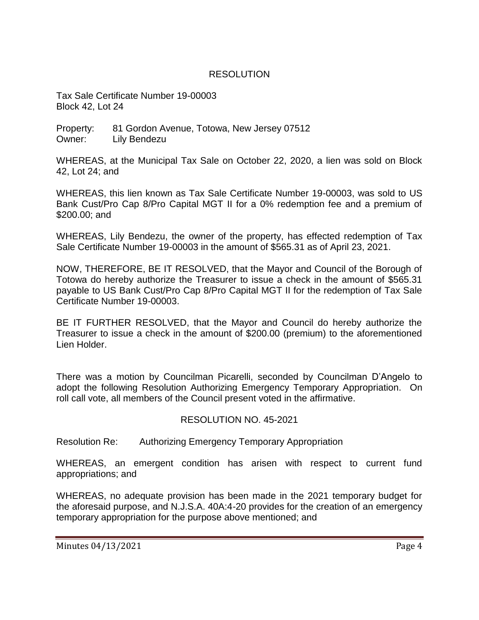## RESOLUTION

Tax Sale Certificate Number 19-00003 Block 42, Lot 24

Property: 81 Gordon Avenue, Totowa, New Jersey 07512 Owner: Lily Bendezu

WHEREAS, at the Municipal Tax Sale on October 22, 2020, a lien was sold on Block 42, Lot 24; and

WHEREAS, this lien known as Tax Sale Certificate Number 19-00003, was sold to US Bank Cust/Pro Cap 8/Pro Capital MGT II for a 0% redemption fee and a premium of \$200.00; and

WHEREAS, Lily Bendezu, the owner of the property, has effected redemption of Tax Sale Certificate Number 19-00003 in the amount of \$565.31 as of April 23, 2021.

NOW, THEREFORE, BE IT RESOLVED, that the Mayor and Council of the Borough of Totowa do hereby authorize the Treasurer to issue a check in the amount of \$565.31 payable to US Bank Cust/Pro Cap 8/Pro Capital MGT II for the redemption of Tax Sale Certificate Number 19-00003.

BE IT FURTHER RESOLVED, that the Mayor and Council do hereby authorize the Treasurer to issue a check in the amount of \$200.00 (premium) to the aforementioned Lien Holder.

There was a motion by Councilman Picarelli, seconded by Councilman D'Angelo to adopt the following Resolution Authorizing Emergency Temporary Appropriation. On roll call vote, all members of the Council present voted in the affirmative.

## RESOLUTION NO. 45-2021

Resolution Re: Authorizing Emergency Temporary Appropriation

WHEREAS, an emergent condition has arisen with respect to current fund appropriations; and

WHEREAS, no adequate provision has been made in the 2021 temporary budget for the aforesaid purpose, and N.J.S.A. 40A:4-20 provides for the creation of an emergency temporary appropriation for the purpose above mentioned; and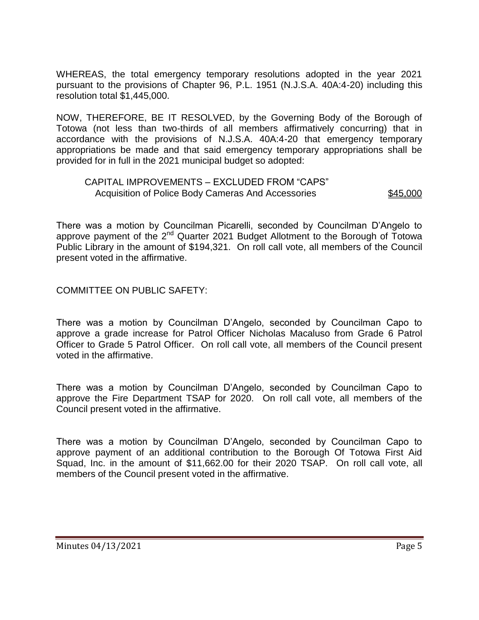WHEREAS, the total emergency temporary resolutions adopted in the year 2021 pursuant to the provisions of Chapter 96, P.L. 1951 (N.J.S.A. 40A:4-20) including this resolution total \$1,445,000.

NOW, THEREFORE, BE IT RESOLVED, by the Governing Body of the Borough of Totowa (not less than two-thirds of all members affirmatively concurring) that in accordance with the provisions of N.J.S.A. 40A:4-20 that emergency temporary appropriations be made and that said emergency temporary appropriations shall be provided for in full in the 2021 municipal budget so adopted:

#### CAPITAL IMPROVEMENTS – EXCLUDED FROM "CAPS" Acquisition of Police Body Cameras And Accessories \$45,000

There was a motion by Councilman Picarelli, seconded by Councilman D'Angelo to approve payment of the  $2^{nd}$  Quarter 2021 Budget Allotment to the Borough of Totowa Public Library in the amount of \$194,321. On roll call vote, all members of the Council present voted in the affirmative.

COMMITTEE ON PUBLIC SAFETY:

There was a motion by Councilman D'Angelo, seconded by Councilman Capo to approve a grade increase for Patrol Officer Nicholas Macaluso from Grade 6 Patrol Officer to Grade 5 Patrol Officer. On roll call vote, all members of the Council present voted in the affirmative.

There was a motion by Councilman D'Angelo, seconded by Councilman Capo to approve the Fire Department TSAP for 2020. On roll call vote, all members of the Council present voted in the affirmative.

There was a motion by Councilman D'Angelo, seconded by Councilman Capo to approve payment of an additional contribution to the Borough Of Totowa First Aid Squad, Inc. in the amount of \$11,662.00 for their 2020 TSAP. On roll call vote, all members of the Council present voted in the affirmative.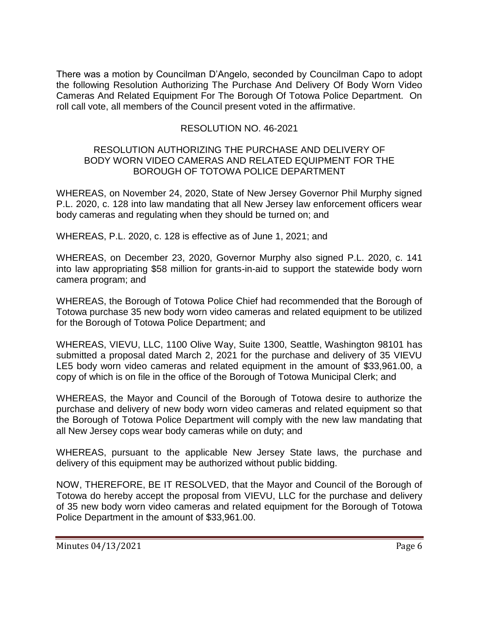There was a motion by Councilman D'Angelo, seconded by Councilman Capo to adopt the following Resolution Authorizing The Purchase And Delivery Of Body Worn Video Cameras And Related Equipment For The Borough Of Totowa Police Department. On roll call vote, all members of the Council present voted in the affirmative.

## RESOLUTION NO. 46-2021

#### RESOLUTION AUTHORIZING THE PURCHASE AND DELIVERY OF BODY WORN VIDEO CAMERAS AND RELATED EQUIPMENT FOR THE BOROUGH OF TOTOWA POLICE DEPARTMENT

WHEREAS, on November 24, 2020, State of New Jersey Governor Phil Murphy signed P.L. 2020, c. 128 into law mandating that all New Jersey law enforcement officers wear body cameras and regulating when they should be turned on; and

WHEREAS, P.L. 2020, c. 128 is effective as of June 1, 2021; and

WHEREAS, on December 23, 2020, Governor Murphy also signed P.L. 2020, c. 141 into law appropriating \$58 million for grants-in-aid to support the statewide body worn camera program; and

WHEREAS, the Borough of Totowa Police Chief had recommended that the Borough of Totowa purchase 35 new body worn video cameras and related equipment to be utilized for the Borough of Totowa Police Department; and

WHEREAS, VIEVU, LLC, 1100 Olive Way, Suite 1300, Seattle, Washington 98101 has submitted a proposal dated March 2, 2021 for the purchase and delivery of 35 VIEVU LE5 body worn video cameras and related equipment in the amount of \$33,961.00, a copy of which is on file in the office of the Borough of Totowa Municipal Clerk; and

WHEREAS, the Mayor and Council of the Borough of Totowa desire to authorize the purchase and delivery of new body worn video cameras and related equipment so that the Borough of Totowa Police Department will comply with the new law mandating that all New Jersey cops wear body cameras while on duty; and

WHEREAS, pursuant to the applicable New Jersey State laws, the purchase and delivery of this equipment may be authorized without public bidding.

NOW, THEREFORE, BE IT RESOLVED, that the Mayor and Council of the Borough of Totowa do hereby accept the proposal from VIEVU, LLC for the purchase and delivery of 35 new body worn video cameras and related equipment for the Borough of Totowa Police Department in the amount of \$33,961.00.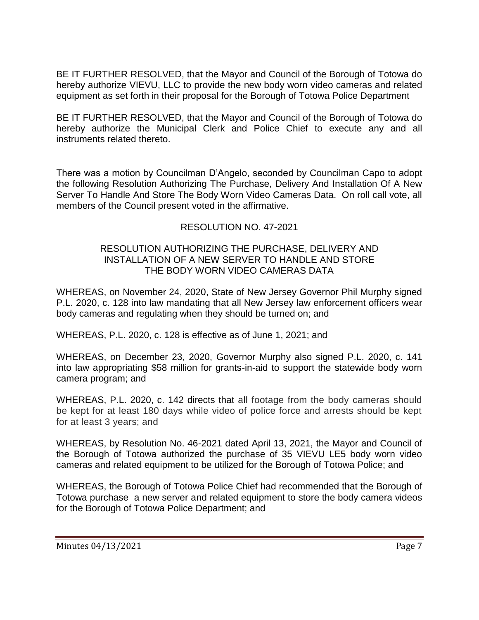BE IT FURTHER RESOLVED, that the Mayor and Council of the Borough of Totowa do hereby authorize VIEVU, LLC to provide the new body worn video cameras and related equipment as set forth in their proposal for the Borough of Totowa Police Department

BE IT FURTHER RESOLVED, that the Mayor and Council of the Borough of Totowa do hereby authorize the Municipal Clerk and Police Chief to execute any and all instruments related thereto.

There was a motion by Councilman D'Angelo, seconded by Councilman Capo to adopt the following Resolution Authorizing The Purchase, Delivery And Installation Of A New Server To Handle And Store The Body Worn Video Cameras Data. On roll call vote, all members of the Council present voted in the affirmative.

# RESOLUTION NO. 47-2021

#### RESOLUTION AUTHORIZING THE PURCHASE, DELIVERY AND INSTALLATION OF A NEW SERVER TO HANDLE AND STORE THE BODY WORN VIDEO CAMERAS DATA

WHEREAS, on November 24, 2020, State of New Jersey Governor Phil Murphy signed P.L. 2020, c. 128 into law mandating that all New Jersey law enforcement officers wear body cameras and regulating when they should be turned on; and

WHEREAS, P.L. 2020, c. 128 is effective as of June 1, 2021; and

WHEREAS, on December 23, 2020, Governor Murphy also signed P.L. 2020, c. 141 into law appropriating \$58 million for grants-in-aid to support the statewide body worn camera program; and

WHEREAS, P.L. 2020, c. 142 directs that all footage from the body cameras should be kept for at least 180 days while video of police force and arrests should be kept for at least 3 years; and

WHEREAS, by Resolution No. 46-2021 dated April 13, 2021, the Mayor and Council of the Borough of Totowa authorized the purchase of 35 VIEVU LE5 body worn video cameras and related equipment to be utilized for the Borough of Totowa Police; and

WHEREAS, the Borough of Totowa Police Chief had recommended that the Borough of Totowa purchase a new server and related equipment to store the body camera videos for the Borough of Totowa Police Department; and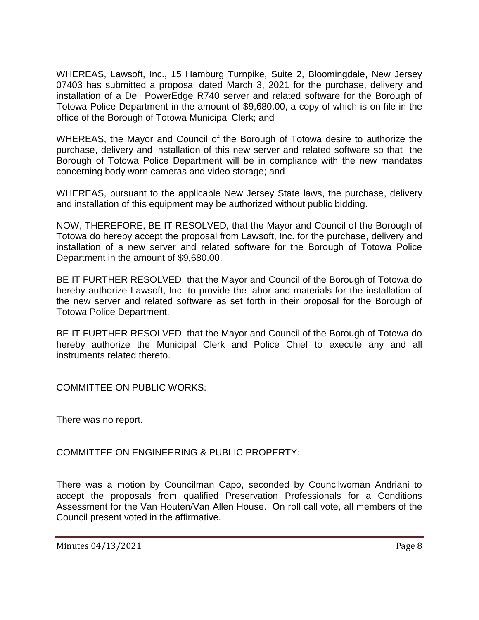WHEREAS, Lawsoft, Inc., 15 Hamburg Turnpike, Suite 2, Bloomingdale, New Jersey 07403 has submitted a proposal dated March 3, 2021 for the purchase, delivery and installation of a Dell PowerEdge R740 server and related software for the Borough of Totowa Police Department in the amount of \$9,680.00, a copy of which is on file in the office of the Borough of Totowa Municipal Clerk; and

WHEREAS, the Mayor and Council of the Borough of Totowa desire to authorize the purchase, delivery and installation of this new server and related software so that the Borough of Totowa Police Department will be in compliance with the new mandates concerning body worn cameras and video storage; and

WHEREAS, pursuant to the applicable New Jersey State laws, the purchase, delivery and installation of this equipment may be authorized without public bidding.

NOW, THEREFORE, BE IT RESOLVED, that the Mayor and Council of the Borough of Totowa do hereby accept the proposal from Lawsoft, Inc. for the purchase, delivery and installation of a new server and related software for the Borough of Totowa Police Department in the amount of \$9,680.00.

BE IT FURTHER RESOLVED, that the Mayor and Council of the Borough of Totowa do hereby authorize Lawsoft, Inc. to provide the labor and materials for the installation of the new server and related software as set forth in their proposal for the Borough of Totowa Police Department.

BE IT FURTHER RESOLVED, that the Mayor and Council of the Borough of Totowa do hereby authorize the Municipal Clerk and Police Chief to execute any and all instruments related thereto.

COMMITTEE ON PUBLIC WORKS:

There was no report.

COMMITTEE ON ENGINEERING & PUBLIC PROPERTY:

There was a motion by Councilman Capo, seconded by Councilwoman Andriani to accept the proposals from qualified Preservation Professionals for a Conditions Assessment for the Van Houten/Van Allen House. On roll call vote, all members of the Council present voted in the affirmative.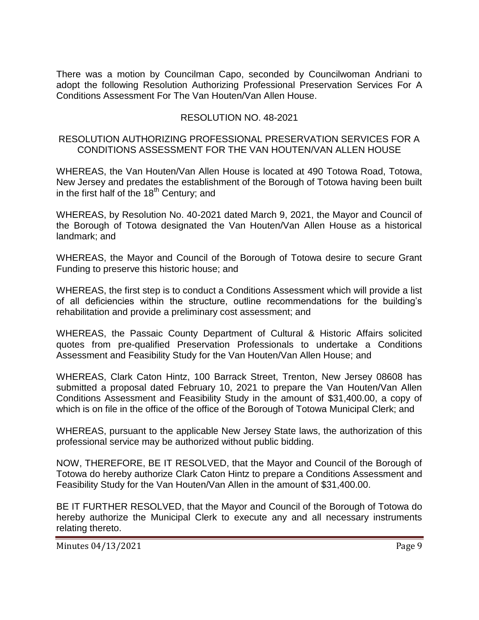There was a motion by Councilman Capo, seconded by Councilwoman Andriani to adopt the following Resolution Authorizing Professional Preservation Services For A Conditions Assessment For The Van Houten/Van Allen House.

## RESOLUTION NO. 48-2021

### RESOLUTION AUTHORIZING PROFESSIONAL PRESERVATION SERVICES FOR A CONDITIONS ASSESSMENT FOR THE VAN HOUTEN/VAN ALLEN HOUSE

WHEREAS, the Van Houten/Van Allen House is located at 490 Totowa Road, Totowa, New Jersey and predates the establishment of the Borough of Totowa having been built in the first half of the  $18<sup>th</sup>$  Century; and

WHEREAS, by Resolution No. 40-2021 dated March 9, 2021, the Mayor and Council of the Borough of Totowa designated the Van Houten/Van Allen House as a historical landmark; and

WHEREAS, the Mayor and Council of the Borough of Totowa desire to secure Grant Funding to preserve this historic house; and

WHEREAS, the first step is to conduct a Conditions Assessment which will provide a list of all deficiencies within the structure, outline recommendations for the building's rehabilitation and provide a preliminary cost assessment; and

WHEREAS, the Passaic County Department of Cultural & Historic Affairs solicited quotes from pre-qualified Preservation Professionals to undertake a Conditions Assessment and Feasibility Study for the Van Houten/Van Allen House; and

WHEREAS, Clark Caton Hintz, 100 Barrack Street, Trenton, New Jersey 08608 has submitted a proposal dated February 10, 2021 to prepare the Van Houten/Van Allen Conditions Assessment and Feasibility Study in the amount of \$31,400.00, a copy of which is on file in the office of the office of the Borough of Totowa Municipal Clerk; and

WHEREAS, pursuant to the applicable New Jersey State laws, the authorization of this professional service may be authorized without public bidding.

NOW, THEREFORE, BE IT RESOLVED, that the Mayor and Council of the Borough of Totowa do hereby authorize Clark Caton Hintz to prepare a Conditions Assessment and Feasibility Study for the Van Houten/Van Allen in the amount of \$31,400.00.

BE IT FURTHER RESOLVED, that the Mayor and Council of the Borough of Totowa do hereby authorize the Municipal Clerk to execute any and all necessary instruments relating thereto.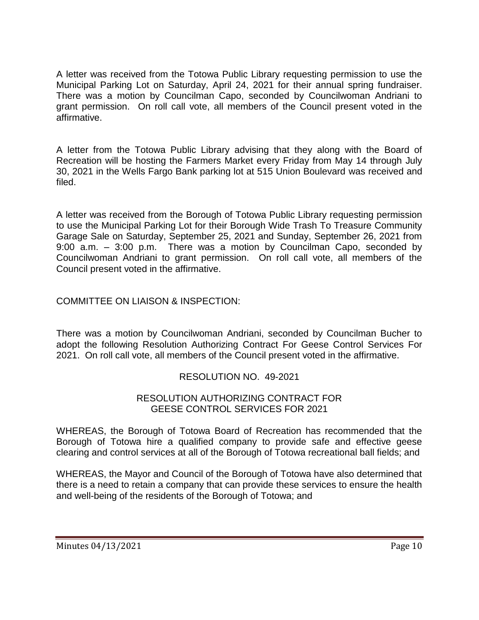A letter was received from the Totowa Public Library requesting permission to use the Municipal Parking Lot on Saturday, April 24, 2021 for their annual spring fundraiser. There was a motion by Councilman Capo, seconded by Councilwoman Andriani to grant permission. On roll call vote, all members of the Council present voted in the affirmative.

A letter from the Totowa Public Library advising that they along with the Board of Recreation will be hosting the Farmers Market every Friday from May 14 through July 30, 2021 in the Wells Fargo Bank parking lot at 515 Union Boulevard was received and filed.

A letter was received from the Borough of Totowa Public Library requesting permission to use the Municipal Parking Lot for their Borough Wide Trash To Treasure Community Garage Sale on Saturday, September 25, 2021 and Sunday, September 26, 2021 from 9:00 a.m. – 3:00 p.m. There was a motion by Councilman Capo, seconded by Councilwoman Andriani to grant permission. On roll call vote, all members of the Council present voted in the affirmative.

# COMMITTEE ON LIAISON & INSPECTION:

There was a motion by Councilwoman Andriani, seconded by Councilman Bucher to adopt the following Resolution Authorizing Contract For Geese Control Services For 2021. On roll call vote, all members of the Council present voted in the affirmative.

## RESOLUTION NO. 49-2021

#### RESOLUTION AUTHORIZING CONTRACT FOR GEESE CONTROL SERVICES FOR 2021

WHEREAS, the Borough of Totowa Board of Recreation has recommended that the Borough of Totowa hire a qualified company to provide safe and effective geese clearing and control services at all of the Borough of Totowa recreational ball fields; and

WHEREAS, the Mayor and Council of the Borough of Totowa have also determined that there is a need to retain a company that can provide these services to ensure the health and well-being of the residents of the Borough of Totowa; and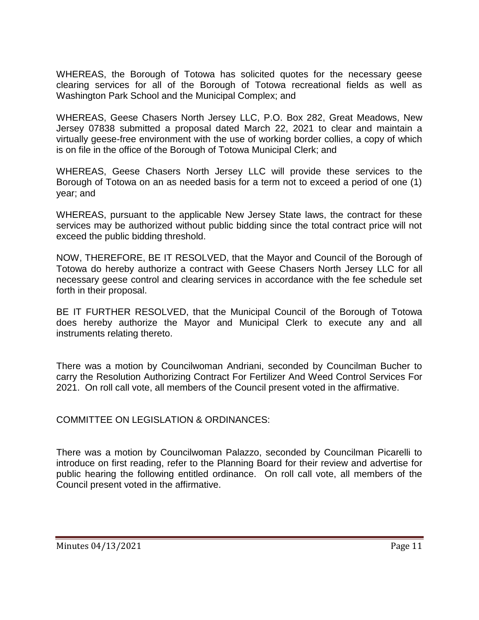WHEREAS, the Borough of Totowa has solicited quotes for the necessary geese clearing services for all of the Borough of Totowa recreational fields as well as Washington Park School and the Municipal Complex; and

WHEREAS, Geese Chasers North Jersey LLC, P.O. Box 282, Great Meadows, New Jersey 07838 submitted a proposal dated March 22, 2021 to clear and maintain a virtually geese-free environment with the use of working border collies, a copy of which is on file in the office of the Borough of Totowa Municipal Clerk; and

WHEREAS, Geese Chasers North Jersey LLC will provide these services to the Borough of Totowa on an as needed basis for a term not to exceed a period of one (1) year; and

WHEREAS, pursuant to the applicable New Jersey State laws, the contract for these services may be authorized without public bidding since the total contract price will not exceed the public bidding threshold.

NOW, THEREFORE, BE IT RESOLVED, that the Mayor and Council of the Borough of Totowa do hereby authorize a contract with Geese Chasers North Jersey LLC for all necessary geese control and clearing services in accordance with the fee schedule set forth in their proposal.

BE IT FURTHER RESOLVED, that the Municipal Council of the Borough of Totowa does hereby authorize the Mayor and Municipal Clerk to execute any and all instruments relating thereto.

There was a motion by Councilwoman Andriani, seconded by Councilman Bucher to carry the Resolution Authorizing Contract For Fertilizer And Weed Control Services For 2021. On roll call vote, all members of the Council present voted in the affirmative.

COMMITTEE ON LEGISLATION & ORDINANCES:

There was a motion by Councilwoman Palazzo, seconded by Councilman Picarelli to introduce on first reading, refer to the Planning Board for their review and advertise for public hearing the following entitled ordinance. On roll call vote, all members of the Council present voted in the affirmative.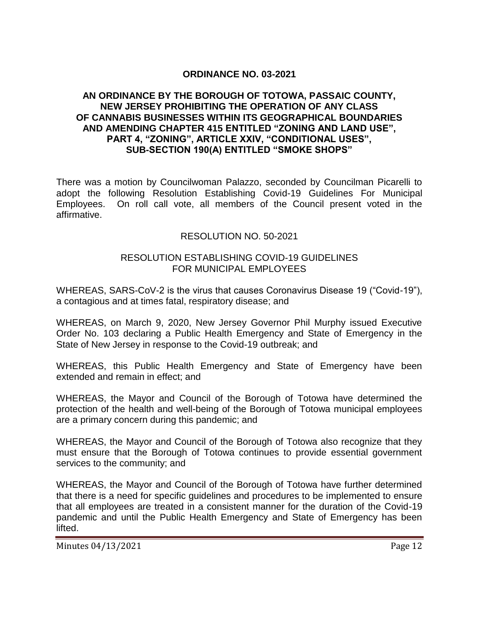### **ORDINANCE NO. 03-2021**

#### **AN ORDINANCE BY THE BOROUGH OF TOTOWA, PASSAIC COUNTY, NEW JERSEY PROHIBITING THE OPERATION OF ANY CLASS OF CANNABIS BUSINESSES WITHIN ITS GEOGRAPHICAL BOUNDARIES AND AMENDING CHAPTER 415 ENTITLED "ZONING AND LAND USE", PART 4, "ZONING", ARTICLE XXIV, "CONDITIONAL USES", SUB-SECTION 190(A) ENTITLED "SMOKE SHOPS"**

There was a motion by Councilwoman Palazzo, seconded by Councilman Picarelli to adopt the following Resolution Establishing Covid-19 Guidelines For Municipal Employees. On roll call vote, all members of the Council present voted in the affirmative.

#### RESOLUTION NO. 50-2021

#### RESOLUTION ESTABLISHING COVID-19 GUIDELINES FOR MUNICIPAL FMPLOYEES

WHEREAS, SARS-CoV-2 is the virus that causes Coronavirus Disease 19 ("Covid-19"), a contagious and at times fatal, respiratory disease; and

WHEREAS, on March 9, 2020, New Jersey Governor Phil Murphy issued Executive Order No. 103 declaring a Public Health Emergency and State of Emergency in the State of New Jersey in response to the Covid-19 outbreak; and

WHEREAS, this Public Health Emergency and State of Emergency have been extended and remain in effect; and

WHEREAS, the Mayor and Council of the Borough of Totowa have determined the protection of the health and well-being of the Borough of Totowa municipal employees are a primary concern during this pandemic; and

WHEREAS, the Mayor and Council of the Borough of Totowa also recognize that they must ensure that the Borough of Totowa continues to provide essential government services to the community; and

WHEREAS, the Mayor and Council of the Borough of Totowa have further determined that there is a need for specific guidelines and procedures to be implemented to ensure that all employees are treated in a consistent manner for the duration of the Covid-19 pandemic and until the Public Health Emergency and State of Emergency has been lifted.

Minutes 04/13/2021 Page 12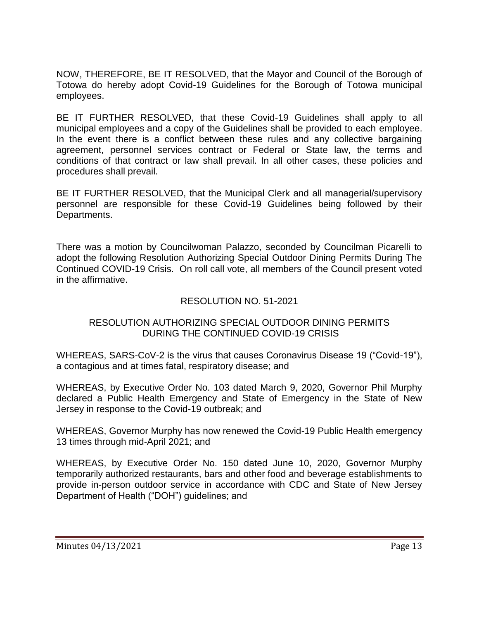NOW, THEREFORE, BE IT RESOLVED, that the Mayor and Council of the Borough of Totowa do hereby adopt Covid-19 Guidelines for the Borough of Totowa municipal employees.

BE IT FURTHER RESOLVED, that these Covid-19 Guidelines shall apply to all municipal employees and a copy of the Guidelines shall be provided to each employee. In the event there is a conflict between these rules and any collective bargaining agreement, personnel services contract or Federal or State law, the terms and conditions of that contract or law shall prevail. In all other cases, these policies and procedures shall prevail.

BE IT FURTHER RESOLVED, that the Municipal Clerk and all managerial/supervisory personnel are responsible for these Covid-19 Guidelines being followed by their Departments.

There was a motion by Councilwoman Palazzo, seconded by Councilman Picarelli to adopt the following Resolution Authorizing Special Outdoor Dining Permits During The Continued COVID-19 Crisis. On roll call vote, all members of the Council present voted in the affirmative.

## RESOLUTION NO. 51-2021

## RESOLUTION AUTHORIZING SPECIAL OUTDOOR DINING PERMITS DURING THE CONTINUED COVID-19 CRISIS

WHEREAS, SARS-CoV-2 is the virus that causes Coronavirus Disease 19 ("Covid-19"), a contagious and at times fatal, respiratory disease; and

WHEREAS, by Executive Order No. 103 dated March 9, 2020, Governor Phil Murphy declared a Public Health Emergency and State of Emergency in the State of New Jersey in response to the Covid-19 outbreak; and

WHEREAS, Governor Murphy has now renewed the Covid-19 Public Health emergency 13 times through mid-April 2021; and

WHEREAS, by Executive Order No. 150 dated June 10, 2020, Governor Murphy temporarily authorized restaurants, bars and other food and beverage establishments to provide in-person outdoor service in accordance with CDC and State of New Jersey Department of Health ("DOH") guidelines; and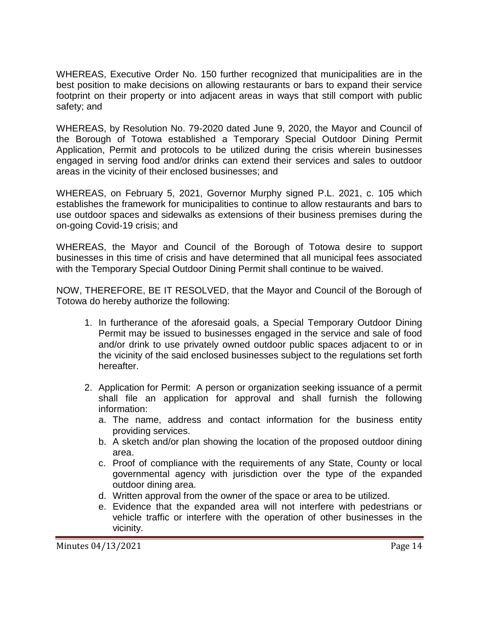WHEREAS, Executive Order No. 150 further recognized that municipalities are in the best position to make decisions on allowing restaurants or bars to expand their service footprint on their property or into adjacent areas in ways that still comport with public safety; and

WHEREAS, by Resolution No. 79-2020 dated June 9, 2020, the Mayor and Council of the Borough of Totowa established a Temporary Special Outdoor Dining Permit Application, Permit and protocols to be utilized during the crisis wherein businesses engaged in serving food and/or drinks can extend their services and sales to outdoor areas in the vicinity of their enclosed businesses; and

WHEREAS, on February 5, 2021, Governor Murphy signed P.L. 2021, c. 105 which establishes the framework for municipalities to continue to allow restaurants and bars to use outdoor spaces and sidewalks as extensions of their business premises during the on-going Covid-19 crisis; and

WHEREAS, the Mayor and Council of the Borough of Totowa desire to support businesses in this time of crisis and have determined that all municipal fees associated with the Temporary Special Outdoor Dining Permit shall continue to be waived.

NOW, THEREFORE, BE IT RESOLVED, that the Mayor and Council of the Borough of Totowa do hereby authorize the following:

- 1. In furtherance of the aforesaid goals, a Special Temporary Outdoor Dining Permit may be issued to businesses engaged in the service and sale of food and/or drink to use privately owned outdoor public spaces adjacent to or in the vicinity of the said enclosed businesses subject to the regulations set forth hereafter.
- 2. Application for Permit: A person or organization seeking issuance of a permit shall file an application for approval and shall furnish the following information:
	- a. The name, address and contact information for the business entity providing services.
	- b. A sketch and/or plan showing the location of the proposed outdoor dining area.
	- c. Proof of compliance with the requirements of any State, County or local governmental agency with jurisdiction over the type of the expanded outdoor dining area.
	- d. Written approval from the owner of the space or area to be utilized.
	- e. Evidence that the expanded area will not interfere with pedestrians or vehicle traffic or interfere with the operation of other businesses in the vicinity.